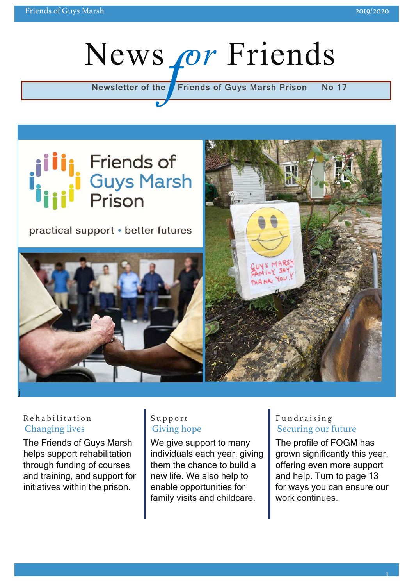# Newsletter of the **Friends of Guys Marsh Prison No 17**



practical support • better futures





#### Rehabilitatio n Changing lives

The Friends of Guys Marsh helps support rehabilitation through funding of courses and training, and support for initiatives within the prison.

#### Support Giving hope

We give support to many individuals each year, giving them the chance to build a new life. We also help to enable opportunities for family visits and childcare.

#### Fundraising Securing our future

The profile of FOGM has grown significantly this year, offering even more support and help. Turn to page 13 for ways you can ensure our work continues.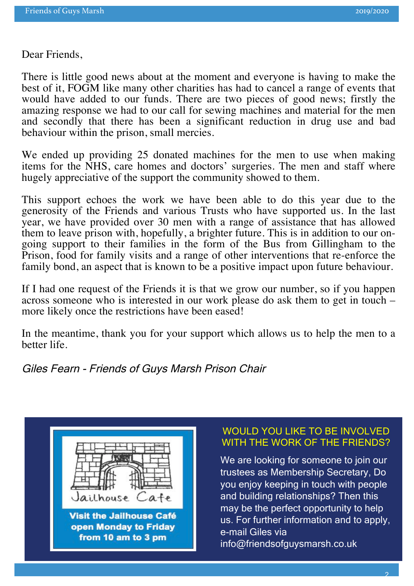Dear Friends,

There is little good news about at the moment and everyone is having to make the best of it, FOGM like many other charities has had to cancel a range of events that would have added to our funds. There are two pieces of good news; firstly the amazing response we had to our call for sewing machines and material for the men and secondly that there has been a significant reduction in drug use and bad behaviour within the prison, small mercies.

We ended up providing 25 donated machines for the men to use when making items for the NHS, care homes and doctors' surgeries. The men and staff where hugely appreciative of the support the community showed to them.

This support echoes the work we have been able to do this year due to the generosity of the Friends and various Trusts who have supported us. In the last year, we have provided over 30 men with a range of assistance that has allowed going support to their families in the form of the Bus from Gillingham to the Prison, food for family visits and a range of other interventions that re-enforce the family bond, an aspect that is known to be a positive impact upon future behaviour.

If I had one request of the Friends it is that we grow our number, so if you happen across someone who is interested in our work please do ask them to get in touch – more likely once the restrictions have been eased!

In the meantime, thank you for your support which allows us to help the men to a better life.

Giles Fearn - Friends of Guys Marsh Prison Chair



#### WOULD YOU LIKE TO BE INVOLVED WITH THE WORK OF THE FRIENDS?

We are looking for someone to join our trustees as Membership Secretary, Do you enjoy keeping in touch with people and building relationships? Then this may be the perfect opportunity to help us. For further information and to apply, e-mail Giles via info@friendsofguysmarsh.co.uk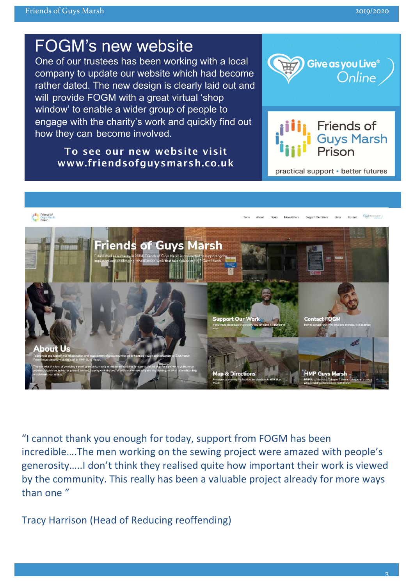# FOGM's new website

One of our trustees has been working with a local company to update our website which had become rather dated. The new design is clearly laid out and will provide FOGM with a great virtual 'shop window' to enable a wider group of people to engage with the charity's work and quickly find out how they can become involved.

**To see our new website visit www.friendsofguysmarsh.co.uk**





practical support · better futures



"I cannot thank you enough for today, support from FOGM has been incredible....The men working on the sewing project were amazed with people's generosity.....I don't think they realised quite how important their work is viewed by the community. This really has been a valuable project already for more ways than one  $''$ 

Tracy Harrison (Head of Reducing reoffending)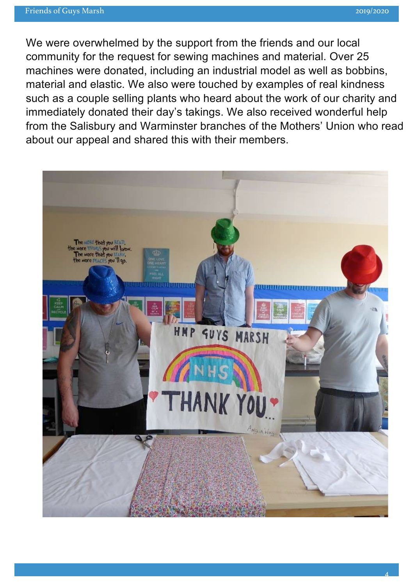We were overwhelmed by the support from the friends and our local community for the request for sewing machines and material. Over 25 machines were donated, including an industrial model as well as bobbins, material and elastic. We also were touched by examples of real kindness such as a couple selling plants who heard about the work of our charity and immediately donated their day's takings. We also received wonderful help from the Salisbury and Warminster branches of the Mothers' Union who read about our appeal and shared this with their members.

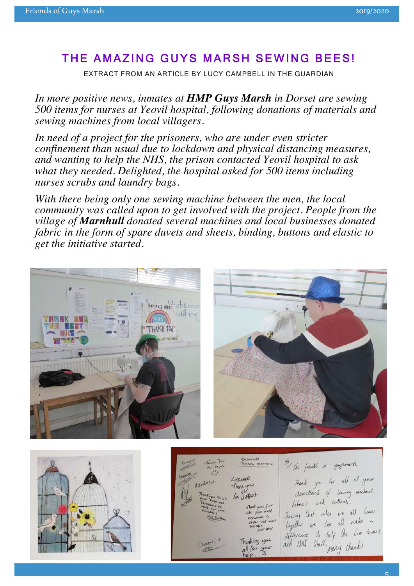#### THE AMAZING GUYS MARSH SEWING BEES!

EXTRACT FROM AN ARTICLE BY LUCY CAMPBELL IN THE GUARDIAN

*In more positive news, inmates at HMP Guys Marsh in Dorset are sewing 500 items for nurses at Yeovil hospital, following donations of materials and sewing machines from local villagers.*

*In need of a project for the prisoners, who are under even stricter confinement than usual due to lockdown and physical distancing measures, and wanting to help the NHS, the prison contacted Yeovil hospital to ask what they needed. Delighted, the hospital asked for 500 items including nurses scrubs and laundry bags.*

*With there being only one sewing machine between the men, the local community was called upon to get involved with the project. People from the village of Marnhull donated several machines and local businesses donated fabric in the form of spare duvets and sheets, binding, buttons and elastic to get the initiative started.*





To the friends of guysmarsh Thank you for all of your donations of Seming modernes. Da soffset fabric's and cotton's. Chank you for Showing that when we all love  $\n <sub>x</sub> = 10$  $L_{1} = 4$ togetter we can all make a possible<br>Sake spoor difference to help the Care homes and NHS Staff. many thanks Thunking you all Sor your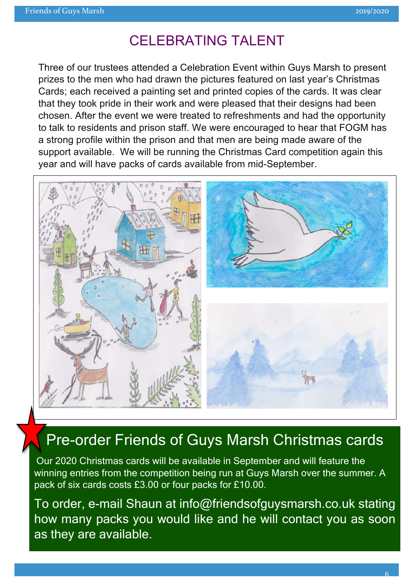#### CELEBRATING TALENT

Three of our trustees attended a Celebration Event within Guys Marsh to present prizes to the men who had drawn the pictures featured on last year's Christmas Cards; each received a painting set and printed copies of the cards. It was clear that they took pride in their work and were pleased that their designs had been chosen. After the event we were treated to refreshments and had the opportunity to talk to residents and prison staff. We were encouraged to hear that FOGM has a strong profile within the prison and that men are being made aware of the support available. We will be running the Christmas Card competition again this year and will have packs of cards available from mid-September.



# Pre-order Friends of Guys Marsh Christmas cards

Our 2020 Christmas cards will be available in September and will feature the winning entries from the competition being run at Guys Marsh over the summer. A pack of six cards costs £3.00 or four packs for £10.00.

To order, e-mail Shaun at info@friendsofguysmarsh.co.uk stating how many packs you would like and he will contact you as soon as they are available.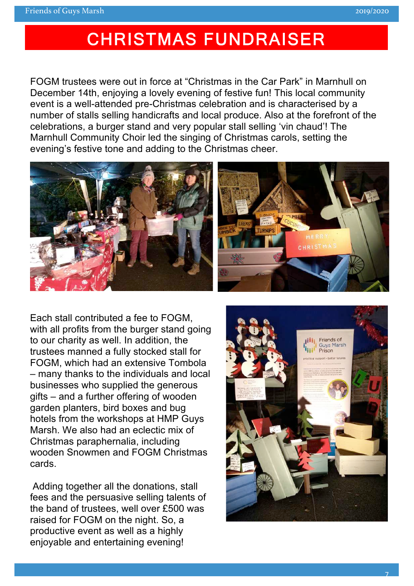# CHRISTMAS FUNDRAISER

FOGM trustees were out in force at "Christmas in the Car Park" in Marnhull on December 14th, enjoying a lovely evening of festive fun! This local community event is a well-attended pre-Christmas celebration and is characterised by a number of stalls selling handicrafts and local produce. Also at the forefront of the celebrations, a burger stand and very popular stall selling 'vin chaud'! The Marnhull Community Choir led the singing of Christmas carols, setting the evening's festive tone and adding to the Christmas cheer.



Each stall contributed a fee to FOGM, with all profits from the burger stand going to our charity as well. In addition, the trustees manned a fully stocked stall for FOGM, which had an extensive Tombola – many thanks to the individuals and local businesses who supplied the generous gifts – and a further offering of wooden garden planters, bird boxes and bug hotels from the workshops at HMP Guys Marsh. We also had an eclectic mix of Christmas paraphernalia, including wooden Snowmen and FOGM Christmas cards.

 Adding together all the donations, stall fees and the persuasive selling talents of the band of trustees, well over £500 was raised for FOGM on the night. So, a productive event as well as a highly enjoyable and entertaining evening!

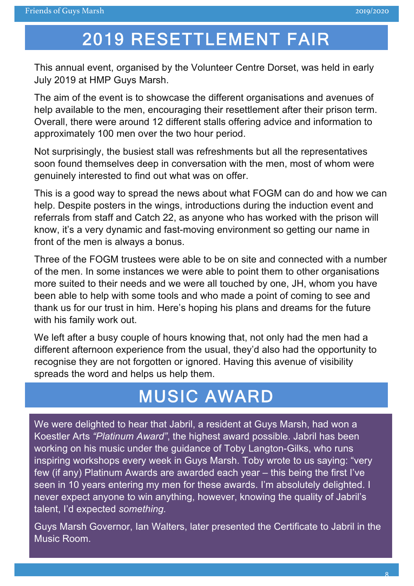*..,.*

# 2019 RESETTLEMENT FAIR

This annual event, organised by the Volunteer Centre Dorset, was held in early July 2019 at HMP Guys Marsh.

The aim of the event is to showcase the different organisations and avenues of help available to the men, encouraging their resettlement after their prison term. Overall, there were around 12 different stalls offering advice and information to approximately 100 men over the two hour period.

Not surprisingly, the busiest stall was refreshments but all the representatives soon found themselves deep in conversation with the men, most of whom were genuinely interested to find out what was on offer.

This is a good way to spread the news about what FOGM can do and how we can help. Despite posters in the wings, introductions during the induction event and referrals from staff and Catch 22, as anyone who has worked with the prison will know, it's a very dynamic and fast-moving environment so getting our name in front of the men is always a bonus.

Three of the FOGM trustees were able to be on site and connected with a number of the men. In some instances we were able to point them to other organisations more suited to their needs and we were all touched by one, JH, whom you have been able to help with some tools and who made a point of coming to see and thank us for our trust in him. Here's hoping his plans and dreams for the future with his family work out.

We left after a busy couple of hours knowing that, not only had the men had a different afternoon experience from the usual, they'd also had the opportunity to recognise they are not forgotten or ignored. Having this avenue of visibility spreads the word and helps us help them.

# MUSIC AWARD

We were delighted to hear that Jabril, a resident at Guys Marsh, had won a Koestler Arts *"Platinum Award"*, the highest award possible. Jabril has been working on his music under the guidance of Toby Langton-Gilks, who runs inspiring workshops every week in Guys Marsh. Toby wrote to us saying: "very few (if any) Platinum Awards are awarded each year – this being the first I've seen in 10 years entering my men for these awards. I'm absolutely delighted. I never expect anyone to win anything, however, knowing the quality of Jabril's talent, I'd expected *something.*

Guys Marsh Governor, Ian Walters, later presented the Certificate to Jabril in the Music Room.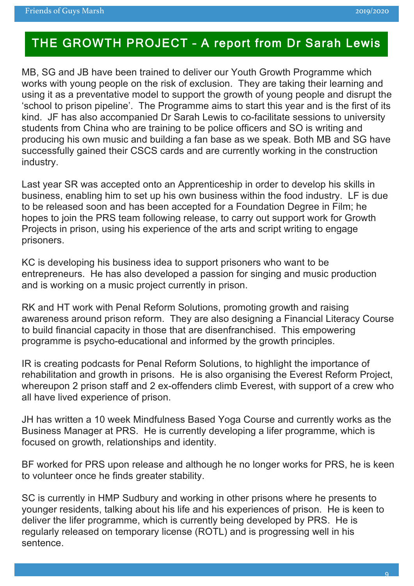#### THE GROWTH PROJECT – A report from Dr Sarah Lewis

MB, SG and JB have been trained to deliver our Youth Growth Programme which works with young people on the risk of exclusion. They are taking their learning and using it as a preventative model to support the growth of young people and disrupt the 'school to prison pipeline'. The Programme aims to start this year and is the first of its kind. JF has also accompanied Dr Sarah Lewis to co-facilitate sessions to university students from China who are training to be police officers and SO is writing and producing his own music and building a fan base as we speak. Both MB and SG have successfully gained their CSCS cards and are currently working in the construction industry.

Last year SR was accepted onto an Apprenticeship in order to develop his skills in business, enabling him to set up his own business within the food industry. LF is due to be released soon and has been accepted for a Foundation Degree in Film; he hopes to join the PRS team following release, to carry out support work for Growth Projects in prison, using his experience of the arts and script writing to engage prisoners.

KC is developing his business idea to support prisoners who want to be entrepreneurs. He has also developed a passion for singing and music production and is working on a music project currently in prison.

RK and HT work with Penal Reform Solutions, promoting growth and raising awareness around prison reform. They are also designing a Financial Literacy Course to build financial capacity in those that are disenfranchised. This empowering programme is psycho-educational and informed by the growth principles.

IR is creating podcasts for Penal Reform Solutions, to highlight the importance of rehabilitation and growth in prisons. He is also organising the Everest Reform Project, whereupon 2 prison staff and 2 ex-offenders climb Everest, with support of a crew who all have lived experience of prison.

JH has written a 10 week Mindfulness Based Yoga Course and currently works as the Business Manager at PRS. He is currently developing a lifer programme, which is focused on growth, relationships and identity.

BF worked for PRS upon release and although he no longer works for PRS, he is keen to volunteer once he finds greater stability.

SC is currently in HMP Sudbury and working in other prisons where he presents to younger residents, talking about his life and his experiences of prison. He is keen to deliver the lifer programme, which is currently being developed by PRS. He is regularly released on temporary license (ROTL) and is progressing well in his sentence.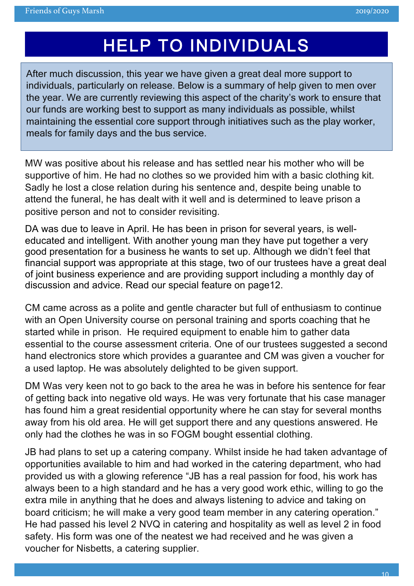# HELP TO INDIVIDUALS

After much discussion, this year we have given a great deal more support to individuals, particularly on release. Below is a summary of help given to men over the year. We are currently reviewing this aspect of the charity's work to ensure that our funds are working best to support as many individuals as possible, whilst maintaining the essential core support through initiatives such as the play worker, meals for family days and the bus service.

MW was positive about his release and has settled near his mother who will be supportive of him. He had no clothes so we provided him with a basic clothing kit. Sadly he lost a close relation during his sentence and, despite being unable to attend the funeral, he has dealt with it well and is determined to leave prison a positive person and not to consider revisiting.

DA was due to leave in April. He has been in prison for several years, is welleducated and intelligent. With another young man they have put together a very good presentation for a business he wants to set up. Although we didn't feel that financial support was appropriate at this stage, two of our trustees have a great deal of joint business experience and are providing support including a monthly day of discussion and advice. Read our special feature on page12.

CM came across as a polite and gentle character but full of enthusiasm to continue with an Open University course on personal training and sports coaching that he started while in prison. He required equipment to enable him to gather data essential to the course assessment criteria. One of our trustees suggested a second hand electronics store which provides a guarantee and CM was given a voucher for a used laptop. He was absolutely delighted to be given support.

DM Was very keen not to go back to the area he was in before his sentence for fear of getting back into negative old ways. He was very fortunate that his case manager has found him a great residential opportunity where he can stay for several months away from his old area. He will get support there and any questions answered. He only had the clothes he was in so FOGM bought essential clothing.

JB had plans to set up a catering company. Whilst inside he had taken advantage of opportunities available to him and had worked in the catering department, who had provided us with a glowing reference "JB has a real passion for food, his work has always been to a high standard and he has a very good work ethic, willing to go the extra mile in anything that he does and always listening to advice and taking on board criticism; he will make a very good team member in any catering operation." He had passed his level 2 NVQ in catering and hospitality as well as level 2 in food safety. His form was one of the neatest we had received and he was given a voucher for Nisbetts, a catering supplier.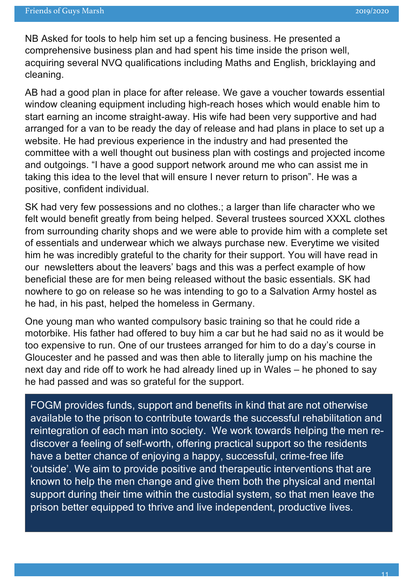NB Asked for tools to help him set up a fencing business. He presented a comprehensive business plan and had spent his time inside the prison well, acquiring several NVQ qualifications including Maths and English, bricklaying and cleaning.

AB had a good plan in place for after release. We gave a voucher towards essential window cleaning equipment including high-reach hoses which would enable him to start earning an income straight-away. His wife had been very supportive and had arranged for a van to be ready the day of release and had plans in place to set up a website. He had previous experience in the industry and had presented the committee with a well thought out business plan with costings and projected income and outgoings. "I have a good support network around me who can assist me in taking this idea to the level that will ensure I never return to prison". He was a positive, confident individual.

SK had very few possessions and no clothes.; a larger than life character who we felt would benefit greatly from being helped. Several trustees sourced XXXL clothes from surrounding charity shops and we were able to provide him with a complete set of essentials and underwear which we always purchase new. Everytime we visited him he was incredibly grateful to the charity for their support. You will have read in our newsletters about the leavers' bags and this was a perfect example of how beneficial these are for men being released without the basic essentials. SK had nowhere to go on release so he was intending to go to a Salvation Army hostel as he had, in his past, helped the homeless in Germany.

One young man who wanted compulsory basic training so that he could ride a motorbike. His father had offered to buy him a car but he had said no as it would be too expensive to run. One of our trustees arranged for him to do a day's course in Gloucester and he passed and was then able to literally jump on his machine the next day and ride off to work he had already lined up in Wales – he phoned to say he had passed and was so grateful for the support.

FOGM provides funds, support and benefits in kind that are not otherwise available to the prison to contribute towards the successful rehabilitation and reintegration of each man into society. We work towards helping the men rediscover a feeling of self-worth, offering practical support so the residents have a better chance of enjoying a happy, successful, crime-free life 'outside'. We aim to provide positive and therapeutic interventions that are known to help the men change and give them both the physical and mental support during their time within the custodial system, so that men leave the prison better equipped to thrive and live independent, productive lives.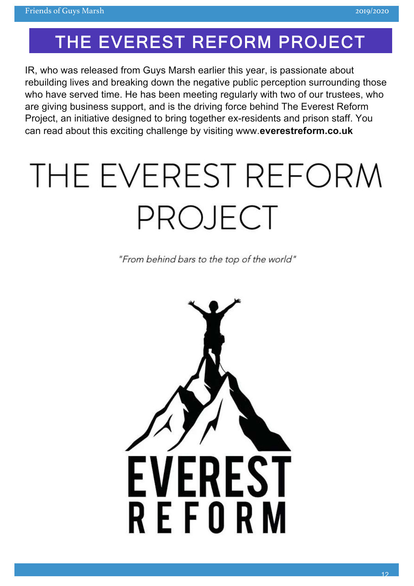# THE EVEREST REFORM PROJECT

IR, who was released from Guys Marsh earlier this year, is passionate about rebuilding lives and breaking down the negative public perception surrounding those who have served time. He has been meeting regularly with two of our trustees, who are giving business support, and is the driving force behind The Everest Reform Project, an initiative designed to bring together ex-residents and prison staff. You can read about this exciting challenge by visiting www.**everestreform.co.uk**

# THE EVEREST REFORM PROJECT

"From behind bars to the top of the world"

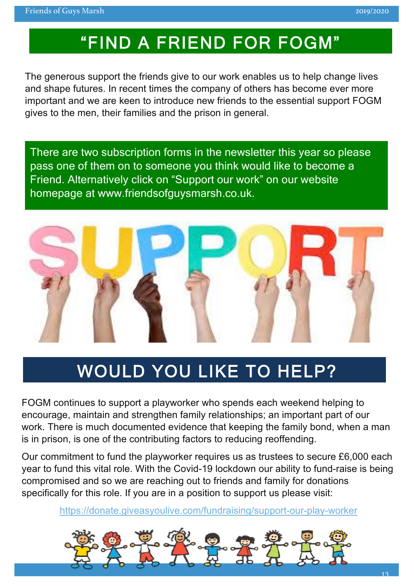# "FIND A FRIEND FOR FOGM"

The generous support the friends give to our work enables us to help change lives and shape futures. In recent times the company of others has become ever more important and we are keen to introduce new friends to the essential support FOGM gives to the men, their families and the prison in general.

There are two subscription forms in the newsletter this year so please pass one of them on to someone you think would like to become a Friend. Alternatively click on "Support our work" on our website homepage at www.friendsofguysmarsh.co.uk.



# WOULD YOU LIKE TO HELP?

FOGM continues to support a playworker who spends each weekend helping to encourage, maintain and strengthen family relationships; an important part of our work. There is much documented evidence that keeping the family bond, when a man is in prison, is one of the contributing factors to reducing reoffending.

Our commitment to fund the playworker requires us as trustees to secure £6,000 each year to fund this vital role. With the Covid-19 lockdown our ability to fund-raise is being compromised and so we are reaching out to friends and family for donations specifically for this role. If you are in a position to support us please visit:

https://donate.giveasyoulive.com/fundraising/support-our-play-worker

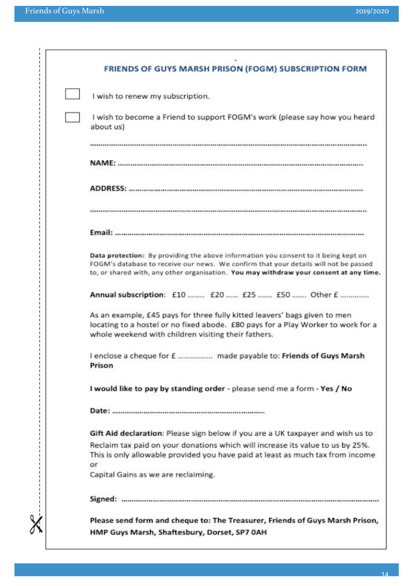|  | FRIENDS OF GUYS MARSH PRISON (FOGM) SUBSCRIPTION FORM                                                                                                                                                                                                                 |
|--|-----------------------------------------------------------------------------------------------------------------------------------------------------------------------------------------------------------------------------------------------------------------------|
|  | I wish to renew my subscription.                                                                                                                                                                                                                                      |
|  | I wish to become a Friend to support FOGM's work (please say how you heard<br>about us)                                                                                                                                                                               |
|  |                                                                                                                                                                                                                                                                       |
|  | <b>NAME:</b>                                                                                                                                                                                                                                                          |
|  |                                                                                                                                                                                                                                                                       |
|  |                                                                                                                                                                                                                                                                       |
|  |                                                                                                                                                                                                                                                                       |
|  | Data protection: By providing the above information you consent to it being kept on<br>FOGM's database to receive our news. We confirm that your details will not be passed<br>to, or shared with, any other organisation. You may withdraw your consent at any time. |
|  | Annual subscription: £10  £20  £25  £50  Other £                                                                                                                                                                                                                      |
|  | As an example, £45 pays for three fully kitted leavers' bags given to men<br>locating to a hostel or no fixed abode. £80 pays for a Play Worker to work for a<br>whole weekend with children visiting their fathers.                                                  |
|  | I enclose a cheque for £  made payable to: Friends of Guys Marsh<br>Prison                                                                                                                                                                                            |
|  | I would like to pay by standing order - please send me a form - Yes / No                                                                                                                                                                                              |
|  |                                                                                                                                                                                                                                                                       |
|  | Gift Aid declaration: Please sign below if you are a UK taxpayer and wish us to                                                                                                                                                                                       |
|  | Reclaim tax paid on your donations which will increase its value to us by 25%.<br>This is only allowable provided you have paid at least as much tax from income                                                                                                      |
|  | or<br>Capital Gains as we are reclaiming.                                                                                                                                                                                                                             |
|  |                                                                                                                                                                                                                                                                       |
|  | Please send form and cheque to: The Treasurer, Friends of Guys Marsh Prison,<br>HMP Guys Marsh, Shaftesbury, Dorset, SP7 0AH                                                                                                                                          |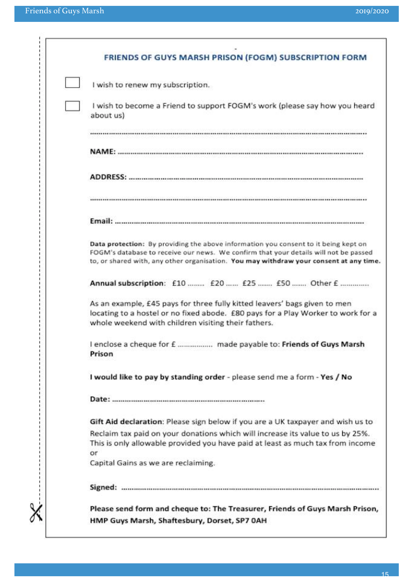| FRIENDS OF GUYS MARSH PRISON (FOGM) SUBSCRIPTION FORM                                                                                                                                                                                                                 |
|-----------------------------------------------------------------------------------------------------------------------------------------------------------------------------------------------------------------------------------------------------------------------|
| I wish to renew my subscription.                                                                                                                                                                                                                                      |
| I wish to become a Friend to support FOGM's work (please say how you heard<br>about us)                                                                                                                                                                               |
|                                                                                                                                                                                                                                                                       |
|                                                                                                                                                                                                                                                                       |
|                                                                                                                                                                                                                                                                       |
|                                                                                                                                                                                                                                                                       |
|                                                                                                                                                                                                                                                                       |
| Data protection: By providing the above information you consent to it being kept on<br>FOGM's database to receive our news. We confirm that your details will not be passed<br>to, or shared with, any other organisation. You may withdraw your consent at any time. |
| Annual subscription: £10  £20  £25  £50  Other £                                                                                                                                                                                                                      |
| As an example, £45 pays for three fully kitted leavers' bags given to men<br>locating to a hostel or no fixed abode. £80 pays for a Play Worker to work for a<br>whole weekend with children visiting their fathers.                                                  |
| I enclose a cheque for £  made payable to: Friends of Guys Marsh<br>Prison                                                                                                                                                                                            |
| I would like to pay by standing order - please send me a form - Yes / No                                                                                                                                                                                              |
|                                                                                                                                                                                                                                                                       |
| Gift Aid declaration: Please sign below if you are a UK taxpayer and wish us to                                                                                                                                                                                       |
| Reclaim tax paid on your donations which will increase its value to us by 25%.<br>This is only allowable provided you have paid at least as much tax from income<br>or                                                                                                |
| Capital Gains as we are reclaiming.                                                                                                                                                                                                                                   |
|                                                                                                                                                                                                                                                                       |
| Please send form and cheque to: The Treasurer, Friends of Guys Marsh Prison,                                                                                                                                                                                          |